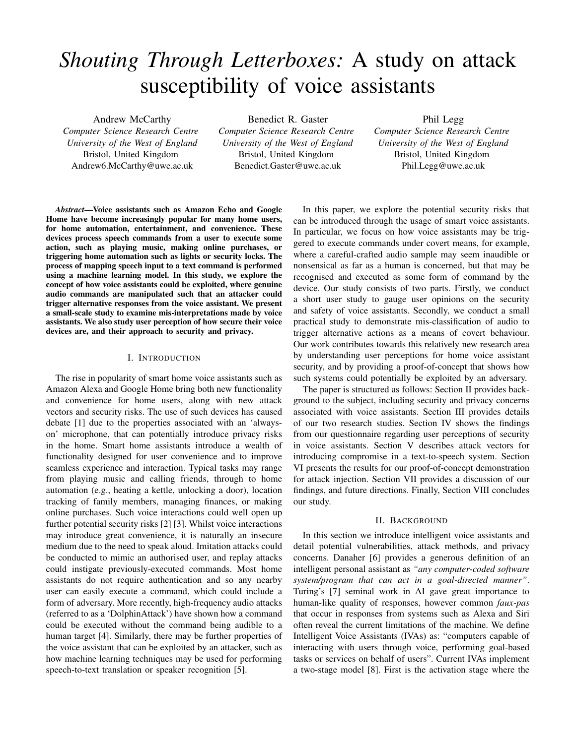# *Shouting Through Letterboxes:* A study on attack susceptibility of voice assistants

Andrew McCarthy *Computer Science Research Centre University of the West of England* Bristol, United Kingdom Andrew6.McCarthy@uwe.ac.uk

Benedict R. Gaster

*Computer Science Research Centre University of the West of England* Bristol, United Kingdom Benedict.Gaster@uwe.ac.uk

Phil Legg *Computer Science Research Centre University of the West of England* Bristol, United Kingdom Phil.Legg@uwe.ac.uk

*Abstract*—Voice assistants such as Amazon Echo and Google Home have become increasingly popular for many home users, for home automation, entertainment, and convenience. These devices process speech commands from a user to execute some action, such as playing music, making online purchases, or triggering home automation such as lights or security locks. The process of mapping speech input to a text command is performed using a machine learning model. In this study, we explore the concept of how voice assistants could be exploited, where genuine audio commands are manipulated such that an attacker could trigger alternative responses from the voice assistant. We present a small-scale study to examine mis-interpretations made by voice assistants. We also study user perception of how secure their voice devices are, and their approach to security and privacy.

# I. INTRODUCTION

The rise in popularity of smart home voice assistants such as Amazon Alexa and Google Home bring both new functionality and convenience for home users, along with new attack vectors and security risks. The use of such devices has caused debate [1] due to the properties associated with an 'alwayson' microphone, that can potentially introduce privacy risks in the home. Smart home assistants introduce a wealth of functionality designed for user convenience and to improve seamless experience and interaction. Typical tasks may range from playing music and calling friends, through to home automation (e.g., heating a kettle, unlocking a door), location tracking of family members, managing finances, or making online purchases. Such voice interactions could well open up further potential security risks [2] [3]. Whilst voice interactions may introduce great convenience, it is naturally an insecure medium due to the need to speak aloud. Imitation attacks could be conducted to mimic an authorised user, and replay attacks could instigate previously-executed commands. Most home assistants do not require authentication and so any nearby user can easily execute a command, which could include a form of adversary. More recently, high-frequency audio attacks (referred to as a 'DolphinAttack') have shown how a command could be executed without the command being audible to a human target [4]. Similarly, there may be further properties of the voice assistant that can be exploited by an attacker, such as how machine learning techniques may be used for performing speech-to-text translation or speaker recognition [5].

In this paper, we explore the potential security risks that can be introduced through the usage of smart voice assistants. In particular, we focus on how voice assistants may be triggered to execute commands under covert means, for example, where a careful-crafted audio sample may seem inaudible or nonsensical as far as a human is concerned, but that may be recognised and executed as some form of command by the device. Our study consists of two parts. Firstly, we conduct a short user study to gauge user opinions on the security and safety of voice assistants. Secondly, we conduct a small practical study to demonstrate mis-classification of audio to trigger alternative actions as a means of covert behaviour. Our work contributes towards this relatively new research area by understanding user perceptions for home voice assistant security, and by providing a proof-of-concept that shows how such systems could potentially be exploited by an adversary.

The paper is structured as follows: Section II provides background to the subject, including security and privacy concerns associated with voice assistants. Section III provides details of our two research studies. Section IV shows the findings from our questionnaire regarding user perceptions of security in voice assistants. Section V describes attack vectors for introducing compromise in a text-to-speech system. Section VI presents the results for our proof-of-concept demonstration for attack injection. Section VII provides a discussion of our findings, and future directions. Finally, Section VIII concludes our study.

# II. BACKGROUND

In this section we introduce intelligent voice assistants and detail potential vulnerabilities, attack methods, and privacy concerns. Danaher [6] provides a generous definition of an intelligent personal assistant as *"any computer-coded software system/program that can act in a goal-directed manner"*. Turing's [7] seminal work in AI gave great importance to human-like quality of responses, however common *faux-pas* that occur in responses from systems such as Alexa and Siri often reveal the current limitations of the machine. We define Intelligent Voice Assistants (IVAs) as: "computers capable of interacting with users through voice, performing goal-based tasks or services on behalf of users". Current IVAs implement a two-stage model [8]. First is the activation stage where the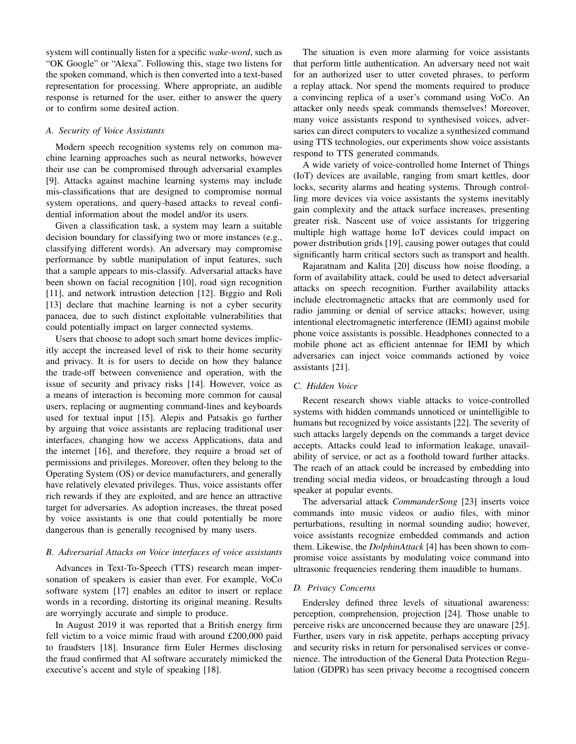system will continually listen for a specific *wake-word*, such as "OK Google" or "Alexa". Following this, stage two listens for the spoken command, which is then converted into a text-based representation for processing. Where appropriate, an audible response is returned for the user, either to answer the query or to confirm some desired action.

## *A. Security of Voice Assistants*

Modern speech recognition systems rely on common machine learning approaches such as neural networks, however their use can be compromised through adversarial examples [9]. Attacks against machine learning systems may include mis-classifications that are designed to compromise normal system operations, and query-based attacks to reveal confidential information about the model and/or its users.

Given a classification task, a system may learn a suitable decision boundary for classifying two or more instances (e.g., classifying different words). An adversary may compromise performance by subtle manipulation of input features, such that a sample appears to mis-classify. Adversarial attacks have been shown on facial recognition [10], road sign recognition [11], and network intrustion detection [12]. Biggio and Roli [13] declare that machine learning is not a cyber security panacea, due to such distinct exploitable vulnerabilities that could potentially impact on larger connected systems.

Users that choose to adopt such smart home devices implicitly accept the increased level of risk to their home security and privacy. It is for users to decide on how they balance the trade-off between convenience and operation, with the issue of security and privacy risks [14]. However, voice as a means of interaction is becoming more common for causal users, replacing or augmenting command-lines and keyboards used for textual input [15]. Alepis and Patsakis go further by arguing that voice assistants are replacing traditional user interfaces, changing how we access Applications, data and the internet [16], and therefore, they require a broad set of permissions and privileges. Moreover, often they belong to the Operating System (OS) or device manufacturers, and generally have relatively elevated privileges. Thus, voice assistants offer rich rewards if they are exploited, and are hence an attractive target for adversaries. As adoption increases, the threat posed by voice assistants is one that could potentially be more dangerous than is generally recognised by many users.

# *B. Adversarial Attacks on Voice interfaces of voice assistants*

Advances in Text-To-Speech (TTS) research mean impersonation of speakers is easier than ever. For example, VoCo software system [17] enables an editor to insert or replace words in a recording, distorting its original meaning. Results are worryingly accurate and simple to produce.

In August 2019 it was reported that a British energy firm fell victim to a voice mimic fraud with around £200,000 paid to fraudsters [18]. Insurance firm Euler Hermes disclosing the fraud confirmed that AI software accurately mimicked the executive's accent and style of speaking [18].

The situation is even more alarming for voice assistants that perform little authentication. An adversary need not wait for an authorized user to utter coveted phrases, to perform a replay attack. Nor spend the moments required to produce a convincing replica of a user's command using VoCo. An attacker only needs speak commands themselves! Moreover, many voice assistants respond to synthesised voices, adversaries can direct computers to vocalize a synthesized command using TTS technologies, our experiments show voice assistants respond to TTS generated commands.

A wide variety of voice-controlled home Internet of Things (IoT) devices are available, ranging from smart kettles, door locks, security alarms and heating systems. Through controlling more devices via voice assistants the systems inevitably gain complexity and the attack surface increases, presenting greater risk. Nascent use of voice assistants for triggering multiple high wattage home IoT devices could impact on power distribution grids [19], causing power outages that could significantly harm critical sectors such as transport and health.

Rajaratnam and Kalita [20] discuss how noise flooding, a form of availability attack, could be used to detect adversarial attacks on speech recognition. Further availability attacks include electromagnetic attacks that are commonly used for radio jamming or denial of service attacks; however, using intentional electromagnetic interference (IEMI) against mobile phone voice assistants is possible. Headphones connected to a mobile phone act as efficient antennae for IEMI by which adversaries can inject voice commands actioned by voice assistants [21].

# *C. Hidden Voice*

Recent research shows viable attacks to voice-controlled systems with hidden commands unnoticed or unintelligible to humans but recognized by voice assistants [22]. The severity of such attacks largely depends on the commands a target device accepts. Attacks could lead to information leakage, unavailability of service, or act as a foothold toward further attacks. The reach of an attack could be increased by embedding into trending social media videos, or broadcasting through a loud speaker at popular events.

The adversarial attack *CommanderSong* [23] inserts voice commands into music videos or audio files, with minor perturbations, resulting in normal sounding audio; however, voice assistants recognize embedded commands and action them. Likewise, the *DolphinAttack* [4] has been shown to compromise voice assistants by modulating voice command into ultrasonic frequencies rendering them inaudible to humans.

# *D. Privacy Concerns*

Endersley defined three levels of situational awareness: perception, comprehension, projection [24]. Those unable to perceive risks are unconcerned because they are unaware [25]. Further, users vary in risk appetite, perhaps accepting privacy and security risks in return for personalised services or convenience. The introduction of the General Data Protection Regulation (GDPR) has seen privacy become a recognised concern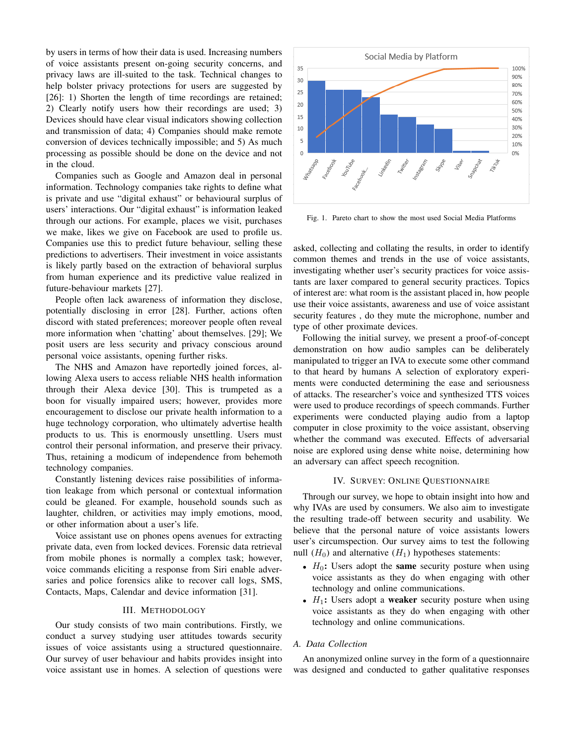by users in terms of how their data is used. Increasing numbers of voice assistants present on-going security concerns, and privacy laws are ill-suited to the task. Technical changes to help bolster privacy protections for users are suggested by [26]: 1) Shorten the length of time recordings are retained; 2) Clearly notify users how their recordings are used; 3) Devices should have clear visual indicators showing collection and transmission of data; 4) Companies should make remote conversion of devices technically impossible; and 5) As much processing as possible should be done on the device and not in the cloud.

Companies such as Google and Amazon deal in personal information. Technology companies take rights to define what is private and use "digital exhaust" or behavioural surplus of users' interactions. Our "digital exhaust" is information leaked through our actions. For example, places we visit, purchases we make, likes we give on Facebook are used to profile us. Companies use this to predict future behaviour, selling these predictions to advertisers. Their investment in voice assistants is likely partly based on the extraction of behavioral surplus from human experience and its predictive value realized in future-behaviour markets [27].

People often lack awareness of information they disclose, potentially disclosing in error [28]. Further, actions often discord with stated preferences; moreover people often reveal more information when 'chatting' about themselves. [29]; We posit users are less security and privacy conscious around personal voice assistants, opening further risks.

The NHS and Amazon have reportedly joined forces, allowing Alexa users to access reliable NHS health information through their Alexa device [30]. This is trumpeted as a boon for visually impaired users; however, provides more encouragement to disclose our private health information to a huge technology corporation, who ultimately advertise health products to us. This is enormously unsettling. Users must control their personal information, and preserve their privacy. Thus, retaining a modicum of independence from behemoth technology companies.

Constantly listening devices raise possibilities of information leakage from which personal or contextual information could be gleaned. For example, household sounds such as laughter, children, or activities may imply emotions, mood, or other information about a user's life.

Voice assistant use on phones opens avenues for extracting private data, even from locked devices. Forensic data retrieval from mobile phones is normally a complex task; however, voice commands eliciting a response from Siri enable adversaries and police forensics alike to recover call logs, SMS, Contacts, Maps, Calendar and device information [31].

# III. METHODOLOGY

Our study consists of two main contributions. Firstly, we conduct a survey studying user attitudes towards security issues of voice assistants using a structured questionnaire. Our survey of user behaviour and habits provides insight into voice assistant use in homes. A selection of questions were



Fig. 1. Pareto chart to show the most used Social Media Platforms

asked, collecting and collating the results, in order to identify common themes and trends in the use of voice assistants, investigating whether user's security practices for voice assistants are laxer compared to general security practices. Topics of interest are: what room is the assistant placed in, how people use their voice assistants, awareness and use of voice assistant security features , do they mute the microphone, number and type of other proximate devices.

Following the initial survey, we present a proof-of-concept demonstration on how audio samples can be deliberately manipulated to trigger an IVA to execute some other command to that heard by humans A selection of exploratory experiments were conducted determining the ease and seriousness of attacks. The researcher's voice and synthesized TTS voices were used to produce recordings of speech commands. Further experiments were conducted playing audio from a laptop computer in close proximity to the voice assistant, observing whether the command was executed. Effects of adversarial noise are explored using dense white noise, determining how an adversary can affect speech recognition.

# IV. SURVEY: ONLINE QUESTIONNAIRE

Through our survey, we hope to obtain insight into how and why IVAs are used by consumers. We also aim to investigate the resulting trade-off between security and usability. We believe that the personal nature of voice assistants lowers user's circumspection. Our survey aims to test the following null  $(H_0)$  and alternative  $(H_1)$  hypotheses statements:

- $H_0$ : Users adopt the **same** security posture when using voice assistants as they do when engaging with other technology and online communications.
- $H_1$ : Users adopt a weaker security posture when using voice assistants as they do when engaging with other technology and online communications.

# *A. Data Collection*

An anonymized online survey in the form of a questionnaire was designed and conducted to gather qualitative responses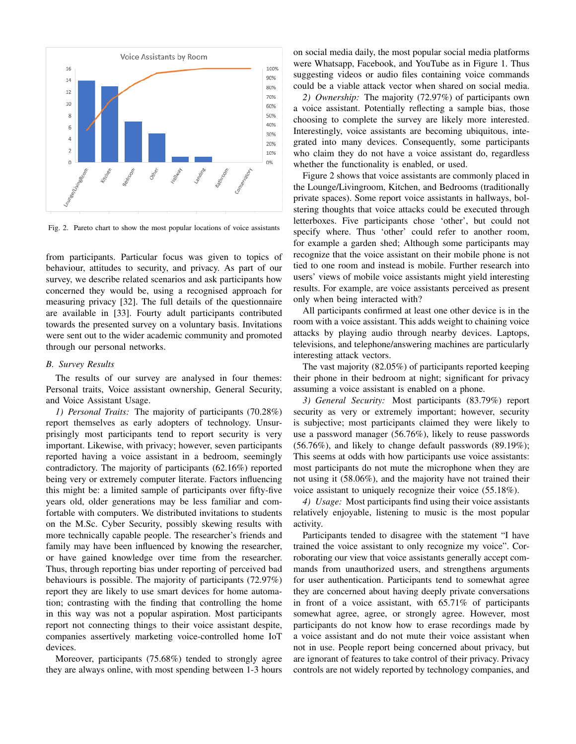

Fig. 2. Pareto chart to show the most popular locations of voice assistants

from participants. Particular focus was given to topics of behaviour, attitudes to security, and privacy. As part of our survey, we describe related scenarios and ask participants how concerned they would be, using a recognised approach for measuring privacy [32]. The full details of the questionnaire are available in [33]. Fourty adult participants contributed towards the presented survey on a voluntary basis. Invitations were sent out to the wider academic community and promoted through our personal networks.

#### *B. Survey Results*

The results of our survey are analysed in four themes: Personal traits, Voice assistant ownership, General Security, and Voice Assistant Usage.

*1) Personal Traits:* The majority of participants (70.28%) report themselves as early adopters of technology. Unsurprisingly most participants tend to report security is very important. Likewise, with privacy; however, seven participants reported having a voice assistant in a bedroom, seemingly contradictory. The majority of participants (62.16%) reported being very or extremely computer literate. Factors influencing this might be: a limited sample of participants over fifty-five years old, older generations may be less familiar and comfortable with computers. We distributed invitations to students on the M.Sc. Cyber Security, possibly skewing results with more technically capable people. The researcher's friends and family may have been influenced by knowing the researcher, or have gained knowledge over time from the researcher. Thus, through reporting bias under reporting of perceived bad behaviours is possible. The majority of participants (72.97%) report they are likely to use smart devices for home automation; contrasting with the finding that controlling the home in this way was not a popular aspiration. Most participants report not connecting things to their voice assistant despite, companies assertively marketing voice-controlled home IoT devices.

Moreover, participants (75.68%) tended to strongly agree they are always online, with most spending between 1-3 hours on social media daily, the most popular social media platforms were Whatsapp, Facebook, and YouTube as in Figure 1. Thus suggesting videos or audio files containing voice commands could be a viable attack vector when shared on social media.

*2) Ownership:* The majority (72.97%) of participants own a voice assistant. Potentially reflecting a sample bias, those choosing to complete the survey are likely more interested. Interestingly, voice assistants are becoming ubiquitous, integrated into many devices. Consequently, some participants who claim they do not have a voice assistant do, regardless whether the functionality is enabled, or used.

Figure 2 shows that voice assistants are commonly placed in the Lounge/Livingroom, Kitchen, and Bedrooms (traditionally private spaces). Some report voice assistants in hallways, bolstering thoughts that voice attacks could be executed through letterboxes. Five participants chose 'other', but could not specify where. Thus 'other' could refer to another room, for example a garden shed; Although some participants may recognize that the voice assistant on their mobile phone is not tied to one room and instead is mobile. Further research into users' views of mobile voice assistants might yield interesting results. For example, are voice assistants perceived as present only when being interacted with?

All participants confirmed at least one other device is in the room with a voice assistant. This adds weight to chaining voice attacks by playing audio through nearby devices. Laptops, televisions, and telephone/answering machines are particularly interesting attack vectors.

The vast majority (82.05%) of participants reported keeping their phone in their bedroom at night; significant for privacy assuming a voice assistant is enabled on a phone.

*3) General Security:* Most participants (83.79%) report security as very or extremely important; however, security is subjective; most participants claimed they were likely to use a password manager (56.76%), likely to reuse passwords (56.76%), and likely to change default passwords (89.19%); This seems at odds with how participants use voice assistants: most participants do not mute the microphone when they are not using it (58.06%), and the majority have not trained their voice assistant to uniquely recognize their voice (55.18%).

*4) Usage:* Most participants find using their voice assistants relatively enjoyable, listening to music is the most popular activity.

Participants tended to disagree with the statement "I have trained the voice assistant to only recognize my voice". Corroborating our view that voice assistants generally accept commands from unauthorized users, and strengthens arguments for user authentication. Participants tend to somewhat agree they are concerned about having deeply private conversations in front of a voice assistant, with 65.71% of participants somewhat agree, agree, or strongly agree. However, most participants do not know how to erase recordings made by a voice assistant and do not mute their voice assistant when not in use. People report being concerned about privacy, but are ignorant of features to take control of their privacy. Privacy controls are not widely reported by technology companies, and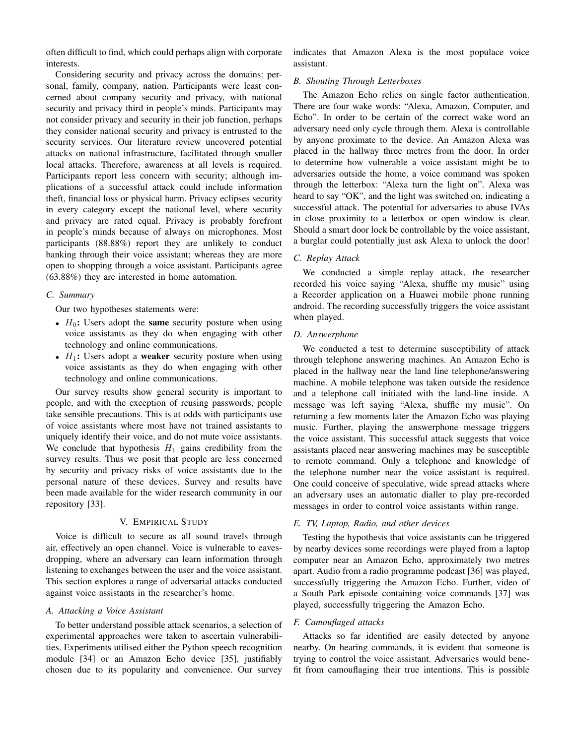often difficult to find, which could perhaps align with corporate interests.

Considering security and privacy across the domains: personal, family, company, nation. Participants were least concerned about company security and privacy, with national security and privacy third in people's minds. Participants may not consider privacy and security in their job function, perhaps they consider national security and privacy is entrusted to the security services. Our literature review uncovered potential attacks on national infrastructure, facilitated through smaller local attacks. Therefore, awareness at all levels is required. Participants report less concern with security; although implications of a successful attack could include information theft, financial loss or physical harm. Privacy eclipses security in every category except the national level, where security and privacy are rated equal. Privacy is probably forefront in people's minds because of always on microphones. Most participants (88.88%) report they are unlikely to conduct banking through their voice assistant; whereas they are more open to shopping through a voice assistant. Participants agree (63.88%) they are interested in home automation.

## *C. Summary*

Our two hypotheses statements were:

- $H_0$ : Users adopt the same security posture when using voice assistants as they do when engaging with other technology and online communications.
- $H_1$ : Users adopt a **weaker** security posture when using voice assistants as they do when engaging with other technology and online communications.

Our survey results show general security is important to people, and with the exception of reusing passwords, people take sensible precautions. This is at odds with participants use of voice assistants where most have not trained assistants to uniquely identify their voice, and do not mute voice assistants. We conclude that hypothesis  $H_1$  gains credibility from the survey results. Thus we posit that people are less concerned by security and privacy risks of voice assistants due to the personal nature of these devices. Survey and results have been made available for the wider research community in our repository [33].

# V. EMPIRICAL STUDY

Voice is difficult to secure as all sound travels through air, effectively an open channel. Voice is vulnerable to eavesdropping, where an adversary can learn information through listening to exchanges between the user and the voice assistant. This section explores a range of adversarial attacks conducted against voice assistants in the researcher's home.

# *A. Attacking a Voice Assistant*

To better understand possible attack scenarios, a selection of experimental approaches were taken to ascertain vulnerabilities. Experiments utilised either the Python speech recognition module [34] or an Amazon Echo device [35], justifiably chosen due to its popularity and convenience. Our survey

indicates that Amazon Alexa is the most populace voice assistant.

### *B. Shouting Through Letterboxes*

The Amazon Echo relies on single factor authentication. There are four wake words: "Alexa, Amazon, Computer, and Echo". In order to be certain of the correct wake word an adversary need only cycle through them. Alexa is controllable by anyone proximate to the device. An Amazon Alexa was placed in the hallway three metres from the door. In order to determine how vulnerable a voice assistant might be to adversaries outside the home, a voice command was spoken through the letterbox: "Alexa turn the light on". Alexa was heard to say "OK", and the light was switched on, indicating a successful attack. The potential for adversaries to abuse IVAs in close proximity to a letterbox or open window is clear. Should a smart door lock be controllable by the voice assistant, a burglar could potentially just ask Alexa to unlock the door!

# *C. Replay Attack*

We conducted a simple replay attack, the researcher recorded his voice saying "Alexa, shuffle my music" using a Recorder application on a Huawei mobile phone running android. The recording successfully triggers the voice assistant when played.

# *D. Answerphone*

We conducted a test to determine susceptibility of attack through telephone answering machines. An Amazon Echo is placed in the hallway near the land line telephone/answering machine. A mobile telephone was taken outside the residence and a telephone call initiated with the land-line inside. A message was left saying "Alexa, shuffle my music". On returning a few moments later the Amazon Echo was playing music. Further, playing the answerphone message triggers the voice assistant. This successful attack suggests that voice assistants placed near answering machines may be susceptible to remote command. Only a telephone and knowledge of the telephone number near the voice assistant is required. One could conceive of speculative, wide spread attacks where an adversary uses an automatic dialler to play pre-recorded messages in order to control voice assistants within range.

# *E. TV, Laptop, Radio, and other devices*

Testing the hypothesis that voice assistants can be triggered by nearby devices some recordings were played from a laptop computer near an Amazon Echo, approximately two metres apart. Audio from a radio programme podcast [36] was played, successfully triggering the Amazon Echo. Further, video of a South Park episode containing voice commands [37] was played, successfully triggering the Amazon Echo.

# *F. Camouflaged attacks*

Attacks so far identified are easily detected by anyone nearby. On hearing commands, it is evident that someone is trying to control the voice assistant. Adversaries would benefit from camouflaging their true intentions. This is possible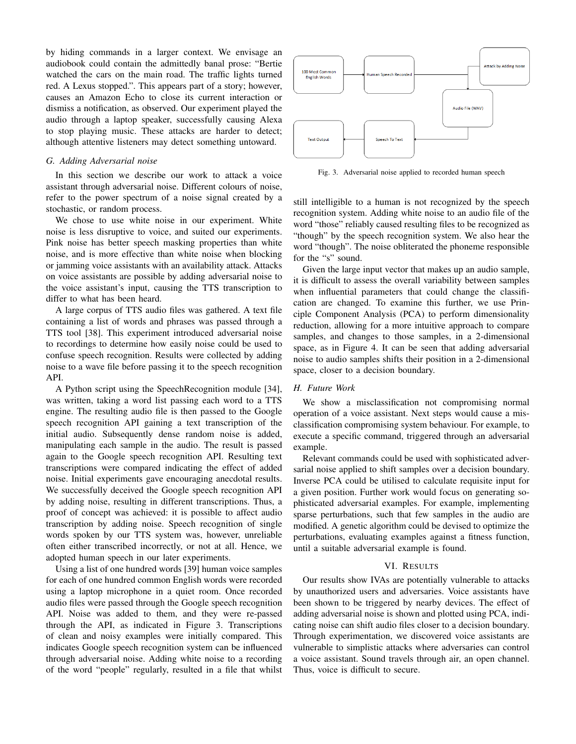by hiding commands in a larger context. We envisage an audiobook could contain the admittedly banal prose: "Bertie watched the cars on the main road. The traffic lights turned red. A Lexus stopped.". This appears part of a story; however, causes an Amazon Echo to close its current interaction or dismiss a notification, as observed. Our experiment played the audio through a laptop speaker, successfully causing Alexa to stop playing music. These attacks are harder to detect; although attentive listeners may detect something untoward.

## *G. Adding Adversarial noise*

In this section we describe our work to attack a voice assistant through adversarial noise. Different colours of noise, refer to the power spectrum of a noise signal created by a stochastic, or random process.

We chose to use white noise in our experiment. White noise is less disruptive to voice, and suited our experiments. Pink noise has better speech masking properties than white noise, and is more effective than white noise when blocking or jamming voice assistants with an availability attack. Attacks on voice assistants are possible by adding adversarial noise to the voice assistant's input, causing the TTS transcription to differ to what has been heard.

A large corpus of TTS audio files was gathered. A text file containing a list of words and phrases was passed through a TTS tool [38]. This experiment introduced adversarial noise to recordings to determine how easily noise could be used to confuse speech recognition. Results were collected by adding noise to a wave file before passing it to the speech recognition API.

A Python script using the SpeechRecognition module [34], was written, taking a word list passing each word to a TTS engine. The resulting audio file is then passed to the Google speech recognition API gaining a text transcription of the initial audio. Subsequently dense random noise is added, manipulating each sample in the audio. The result is passed again to the Google speech recognition API. Resulting text transcriptions were compared indicating the effect of added noise. Initial experiments gave encouraging anecdotal results. We successfully deceived the Google speech recognition API by adding noise, resulting in different transcriptions. Thus, a proof of concept was achieved: it is possible to affect audio transcription by adding noise. Speech recognition of single words spoken by our TTS system was, however, unreliable often either transcribed incorrectly, or not at all. Hence, we adopted human speech in our later experiments.

Using a list of one hundred words [39] human voice samples for each of one hundred common English words were recorded using a laptop microphone in a quiet room. Once recorded audio files were passed through the Google speech recognition API. Noise was added to them, and they were re-passed through the API, as indicated in Figure 3. Transcriptions of clean and noisy examples were initially compared. This indicates Google speech recognition system can be influenced through adversarial noise. Adding white noise to a recording of the word "people" regularly, resulted in a file that whilst



Fig. 3. Adversarial noise applied to recorded human speech

still intelligible to a human is not recognized by the speech recognition system. Adding white noise to an audio file of the word "those" reliably caused resulting files to be recognized as "though" by the speech recognition system. We also hear the word "though". The noise obliterated the phoneme responsible for the "s" sound.

Given the large input vector that makes up an audio sample, it is difficult to assess the overall variability between samples when influential parameters that could change the classification are changed. To examine this further, we use Principle Component Analysis (PCA) to perform dimensionality reduction, allowing for a more intuitive approach to compare samples, and changes to those samples, in a 2-dimensional space, as in Figure 4. It can be seen that adding adversarial noise to audio samples shifts their position in a 2-dimensional space, closer to a decision boundary.

# *H. Future Work*

We show a misclassification not compromising normal operation of a voice assistant. Next steps would cause a misclassification compromising system behaviour. For example, to execute a specific command, triggered through an adversarial example.

Relevant commands could be used with sophisticated adversarial noise applied to shift samples over a decision boundary. Inverse PCA could be utilised to calculate requisite input for a given position. Further work would focus on generating sophisticated adversarial examples. For example, implementing sparse perturbations, such that few samples in the audio are modified. A genetic algorithm could be devised to optimize the perturbations, evaluating examples against a fitness function, until a suitable adversarial example is found.

## VI. RESULTS

Our results show IVAs are potentially vulnerable to attacks by unauthorized users and adversaries. Voice assistants have been shown to be triggered by nearby devices. The effect of adding adversarial noise is shown and plotted using PCA, indicating noise can shift audio files closer to a decision boundary. Through experimentation, we discovered voice assistants are vulnerable to simplistic attacks where adversaries can control a voice assistant. Sound travels through air, an open channel. Thus, voice is difficult to secure.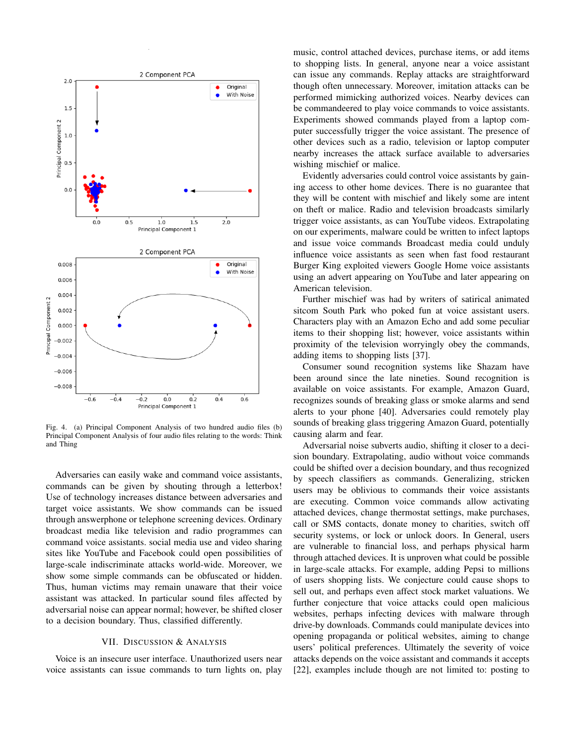

Fig. 4. (a) Principal Component Analysis of two hundred audio files (b) Principal Component Analysis of four audio files relating to the words: Think and Thing

Adversaries can easily wake and command voice assistants, commands can be given by shouting through a letterbox! Use of technology increases distance between adversaries and target voice assistants. We show commands can be issued through answerphone or telephone screening devices. Ordinary broadcast media like television and radio programmes can command voice assistants. social media use and video sharing sites like YouTube and Facebook could open possibilities of large-scale indiscriminate attacks world-wide. Moreover, we show some simple commands can be obfuscated or hidden. Thus, human victims may remain unaware that their voice assistant was attacked. In particular sound files affected by adversarial noise can appear normal; however, be shifted closer to a decision boundary. Thus, classified differently.

# VII. DISCUSSION & ANALYSIS

Voice is an insecure user interface. Unauthorized users near voice assistants can issue commands to turn lights on, play music, control attached devices, purchase items, or add items to shopping lists. In general, anyone near a voice assistant can issue any commands. Replay attacks are straightforward though often unnecessary. Moreover, imitation attacks can be performed mimicking authorized voices. Nearby devices can be commandeered to play voice commands to voice assistants. Experiments showed commands played from a laptop computer successfully trigger the voice assistant. The presence of other devices such as a radio, television or laptop computer nearby increases the attack surface available to adversaries wishing mischief or malice.

Evidently adversaries could control voice assistants by gaining access to other home devices. There is no guarantee that they will be content with mischief and likely some are intent on theft or malice. Radio and television broadcasts similarly trigger voice assistants, as can YouTube videos. Extrapolating on our experiments, malware could be written to infect laptops and issue voice commands Broadcast media could unduly influence voice assistants as seen when fast food restaurant Burger King exploited viewers Google Home voice assistants using an advert appearing on YouTube and later appearing on American television.

Further mischief was had by writers of satirical animated sitcom South Park who poked fun at voice assistant users. Characters play with an Amazon Echo and add some peculiar items to their shopping list; however, voice assistants within proximity of the television worryingly obey the commands, adding items to shopping lists [37].

Consumer sound recognition systems like Shazam have been around since the late nineties. Sound recognition is available on voice assistants. For example, Amazon Guard, recognizes sounds of breaking glass or smoke alarms and send alerts to your phone [40]. Adversaries could remotely play sounds of breaking glass triggering Amazon Guard, potentially causing alarm and fear.

Adversarial noise subverts audio, shifting it closer to a decision boundary. Extrapolating, audio without voice commands could be shifted over a decision boundary, and thus recognized by speech classifiers as commands. Generalizing, stricken users may be oblivious to commands their voice assistants are executing. Common voice commands allow activating attached devices, change thermostat settings, make purchases, call or SMS contacts, donate money to charities, switch off security systems, or lock or unlock doors. In General, users are vulnerable to financial loss, and perhaps physical harm through attached devices. It is unproven what could be possible in large-scale attacks. For example, adding Pepsi to millions of users shopping lists. We conjecture could cause shops to sell out, and perhaps even affect stock market valuations. We further conjecture that voice attacks could open malicious websites, perhaps infecting devices with malware through drive-by downloads. Commands could manipulate devices into opening propaganda or political websites, aiming to change users' political preferences. Ultimately the severity of voice attacks depends on the voice assistant and commands it accepts [22], examples include though are not limited to: posting to